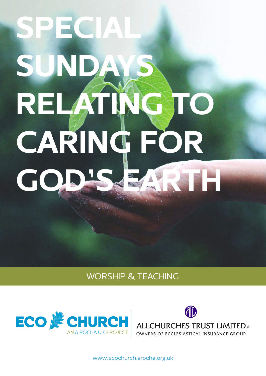# SPECIAL SUNDAY RELATING TO CARING FOR GOD'S EARTH

## WORSHIP & TEACHING





[www.ecochurch.arocha.org.uk](http://ecochurch.arocha.org.uk)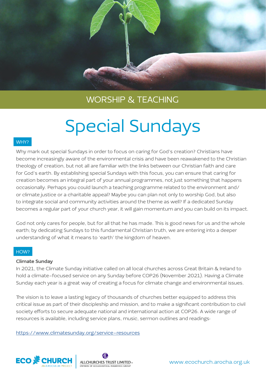

# Special Sundays

#### WHY?

Why mark out special Sundays in order to focus on caring for God's creation? Christians have become increasingly aware of the environmental crisis and have been reawakened to the Christian theology of creation, but not all are familiar with the links between our Christian faith and care for God's earth. By establishing special Sundays with this focus, you can ensure that caring for creation becomes an integral part of your annual programmes, not just something that happens occasionally. Perhaps you could launch a teaching programme related to the environment and/ or climate justice or a charitable appeal? Maybe you can plan not only to worship God, but also to integrate social and community activities around the theme as well? If a dedicated Sunday becomes a regular part of your church year, it will gain momentum and you can build on its impact.

God not only cares for people, but for all that he has made. This is good news for us and the whole earth; by dedicating Sundays to this fundamental Christian truth, we are entering into a deeper understanding of what it means to 'earth' the kingdom of heaven.

#### HOW?

#### Climate Sunday

In 2021, the Climate Sunday initiative called on all local churches across Great Britain & Ireland to hold a climate-focused service on any Sunday before COP26 (November 2021). Having a Climate Sunday each year is a great way of creating a focus for climate change and environmental issues.

The vision is to leave a lasting legacy of thousands of churches better equipped to address this critical issue as part of their discipleship and mission, and to make a significant contribution to civil society efforts to secure adequate national and international action at COP26. A wide range of resources is available, including service plans, music, sermon outlines and readings:

<https://www.climatesunday.org/service-resources>



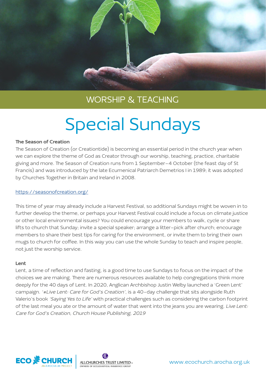

# Special Sundays

#### The Season of Creation

The Season of Creation (or Creationtide) is becoming an essential period in the church year when we can explore the theme of God as Creator through our worship, teaching, practice, charitable giving and more. The Season of Creation runs from 1 September–4 October (the feast day of St Francis) and was introduced by the late Ecumenical Patriarch Demetrios I in 1989; it was adopted by Churches Together in Britain and Ireland in 2008.

#### <https://seasonofcreation.org/>

This time of year may already include a Harvest Festival, so additional Sundays might be woven in to further develop the theme, or perhaps your Harvest Festival could include a focus on climate justice or other local environmental issues? You could encourage your members to walk, cycle or share lifts to church that Sunday; invite a special speaker; arrange a litter-pick after church; encourage members to share their best tips for caring for the environment, or invite them to bring their own mugs to church for coffee. In this way you can use the whole Sunday to teach and inspire people, not just the worship service.

#### Lent

Lent, a time of reflection and fasting, is a good time to use Sundays to focus on the impact of the choices we are making. There are numerous resources available to help congregations think more deeply for the 40 days of Lent. In 2020, Anglican Archbishop Justin Welby launched a 'Green Lent' campaign. '#Live Lent: Care for God's Creation', is a 40-day challenge that sits alongside Ruth Valerio's book 'Saying Yes to Life' with practical challenges such as considering the carbon footprint of the last meal you ate or the amount of water that went into the jeans you are wearing. Live Lent: Care for God's Creation, Church House Publishing, 2019



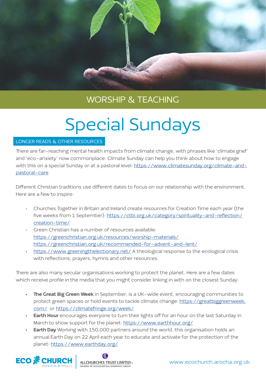

# Special Sundays

#### LONGER READS & OTHER RESOURCES

There are far-reaching mental health impacts from climate change, with phrases like 'climate grief' and 'eco-anxiety' now commonplace. Climate Sunday can help you think about how to engage with this on a special Sunday or at a pastoral level: [https://www.climatesunday.org/climate-and](https://www.climatesunday.org/climate-and-pastoral-care)[pastoral-care](https://www.climatesunday.org/climate-and-pastoral-care)

Different Christian traditions use different dates to focus on our relationship with the environment. Here are a few to inspire:

- Churches Together in Britain and Ireland create resources for Creation Time each year (the five weeks from 1 September): [https://ctbi.org.uk/category/spirituality-and-reflection/](https://ctbi.org.uk/category/spirituality-and-reflection/creation-time/) [creation-time/](https://ctbi.org.uk/category/spirituality-and-reflection/creation-time/)
- Green Christian has a number of resources available: <https://greenchristian.org.uk/resources/worship-materials/> <https://greenchristian.org.uk/recommended-for-advent-and-lent/>
- <https://www.greeningthelectionary.net/>A theological response to the ecological crisis with reflections, prayers, hymns and other resources.

There are also many secular organisations working to protect the planet. Here are a few dates which receive profile in the media that you might consider linking in with on the closest Sunday:

- The Great Big Green Week in September, is a UK-wide event, encouraging communities to protect green spaces or hold events to tackle climate change: [https://greatbiggreenweek.](https://greatbiggreenweek.com/) [com/](https://greatbiggreenweek.com/) or<https://climatefringe.org/week/>
- **Earth Hour** encourages everyone to turn their lights off for an hour on the last Saturday in March to show support for the planet:<https://www.earthhour.org/>
- **Earth Day** Working with 150,000 partners around the world, this organisation holds an annual Earth Day on 22 April each year to educate and activate for the protection of the planet: <https://www.earthday.org/>